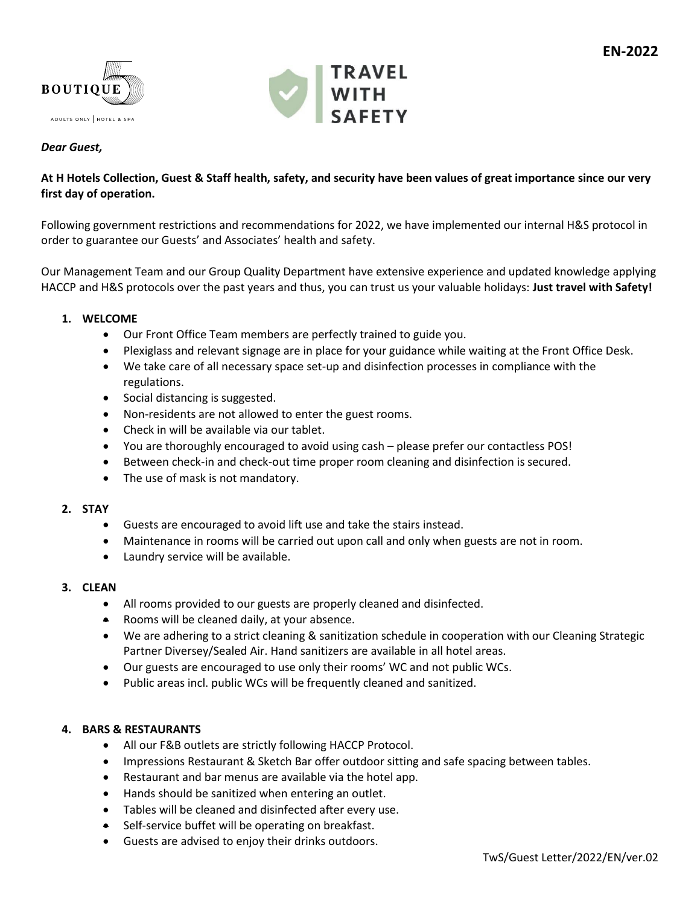



# *Dear Guest,*

## **At H Hotels Collection, Guest & Staff health, safety, and security have been values of great importance since our very first day of operation.**

Following government restrictions and recommendations for 2022, we have implemented our internal H&S protocol in order to guarantee our Guests' and Associates' health and safety.

Our Management Team and our Group Quality Department have extensive experience and updated knowledge applying HACCP and H&S protocols over the past years and thus, you can trust us your valuable holidays: **Just travel with Safety!**

### **1. WELCOME**

- Our Front Office Team members are perfectly trained to guide you.
- Plexiglass and relevant signage are in place for your guidance while waiting at the Front Office Desk.
- We take care of all necessary space set-up and disinfection processes in compliance with the regulations.
- Social distancing is suggested.
- Non-residents are not allowed to enter the guest rooms.
- Check in will be available via our tablet.
- You are thoroughly encouraged to avoid using cash please prefer our contactless POS!
- Between check-in and check-out time proper room cleaning and disinfection is secured.
- The use of mask is not mandatory.

### **2. STAY**

- Guests are encouraged to avoid lift use and take the stairs instead.
- Maintenance in rooms will be carried out upon call and only when guests are not in room.
- Laundry service will be available.

#### **3. CLEAN**

- All rooms provided to our guests are properly cleaned and disinfected.
- Rooms will be cleaned daily, at your absence.
- We are adhering to a strict cleaning & sanitization schedule in cooperation with our Cleaning Strategic Partner Diversey/Sealed Air. Hand sanitizers are available in all hotel areas.
- Our guests are encouraged to use only their rooms' WC and not public WCs.
- Public areas incl. public WCs will be frequently cleaned and sanitized.

### **4. BARS & RESTAURANTS**

- All our F&B outlets are strictly following HACCP Protocol.
- Impressions Restaurant & Sketch Bar offer outdoor sitting and safe spacing between tables.
- Restaurant and bar menus are available via the hotel app.
- Hands should be sanitized when entering an outlet.
- Tables will be cleaned and disinfected after every use.
- Self-service buffet will be operating on breakfast.
- Guests are advised to enjoy their drinks outdoors.